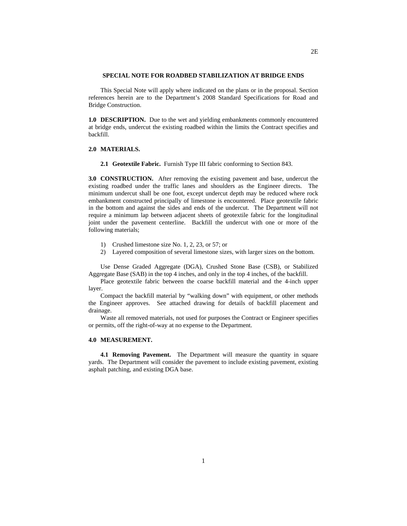### **SPECIAL NOTE FOR ROADBED STABILIZATION AT BRIDGE ENDS**

This Special Note will apply where indicated on the plans or in the proposal. Section references herein are to the Department's 2008 Standard Specifications for Road and Bridge Construction.

**1.0 DESCRIPTION.** Due to the wet and yielding embankments commonly encountered at bridge ends, undercut the existing roadbed within the limits the Contract specifies and backfill.

## **2.0 MATERIALS.**

**2.1 Geotextile Fabric.** Furnish Type III fabric conforming to Section 843.

**3.0 CONSTRUCTION.** After removing the existing pavement and base, undercut the existing roadbed under the traffic lanes and shoulders as the Engineer directs. The minimum undercut shall be one foot, except undercut depth may be reduced where rock embankment constructed principally of limestone is encountered. Place geotextile fabric in the bottom and against the sides and ends of the undercut. The Department will not require a minimum lap between adjacent sheets of geotextile fabric for the longitudinal joint under the pavement centerline. Backfill the undercut with one or more of the following materials;

- 1) Crushed limestone size No. 1, 2, 23, or 57; or
- 2) Layered composition of several limestone sizes, with larger sizes on the bottom.

Use Dense Graded Aggregate (DGA), Crushed Stone Base (CSB), or Stabilized Aggregate Base (SAB) in the top 4 inches, and only in the top 4 inches, of the backfill.

Place geotextile fabric between the coarse backfill material and the 4-inch upper layer.

Compact the backfill material by "walking down" with equipment, or other methods the Engineer approves. See attached drawing for details of backfill placement and drainage.

Waste all removed materials, not used for purposes the Contract or Engineer specifies or permits, off the right-of-way at no expense to the Department.

### **4.0 MEASUREMENT.**

**4.1 Removing Pavement.** The Department will measure the quantity in square yards. The Department will consider the pavement to include existing pavement, existing asphalt patching, and existing DGA base.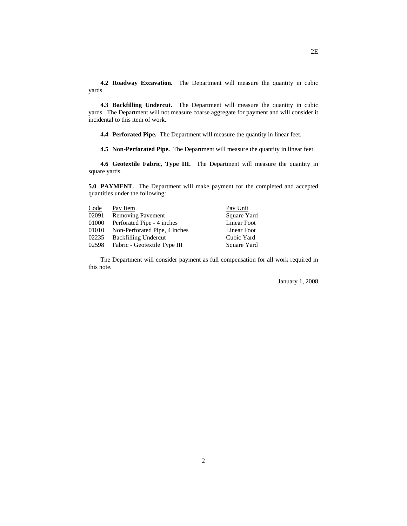**4.2 Roadway Excavation.** The Department will measure the quantity in cubic yards.

**4.3 Backfilling Undercut.** The Department will measure the quantity in cubic yards. The Department will not measure coarse aggregate for payment and will consider it incidental to this item of work.

**4.4 Perforated Pipe.** The Department will measure the quantity in linear feet.

**4.5 Non-Perforated Pipe.** The Department will measure the quantity in linear feet.

**4.6 Geotextile Fabric, Type III.** The Department will measure the quantity in square yards.

**5.0 PAYMENT.** The Department will make payment for the completed and accepted quantities under the following:

| Code  | Pay Item                            | Pay Unit           |
|-------|-------------------------------------|--------------------|
| 02091 | <b>Removing Pavement</b>            | Square Yard        |
| 01000 | Perforated Pipe - 4 inches          | <b>Linear Foot</b> |
|       | 01010 Non-Perforated Pipe, 4 inches | Linear Foot        |
| 02235 | <b>Backfilling Undercut</b>         | Cubic Yard         |
| 02598 | Fabric - Geotextile Type III        | Square Yard        |

The Department will consider payment as full compensation for all work required in this note.

January 1, 2008